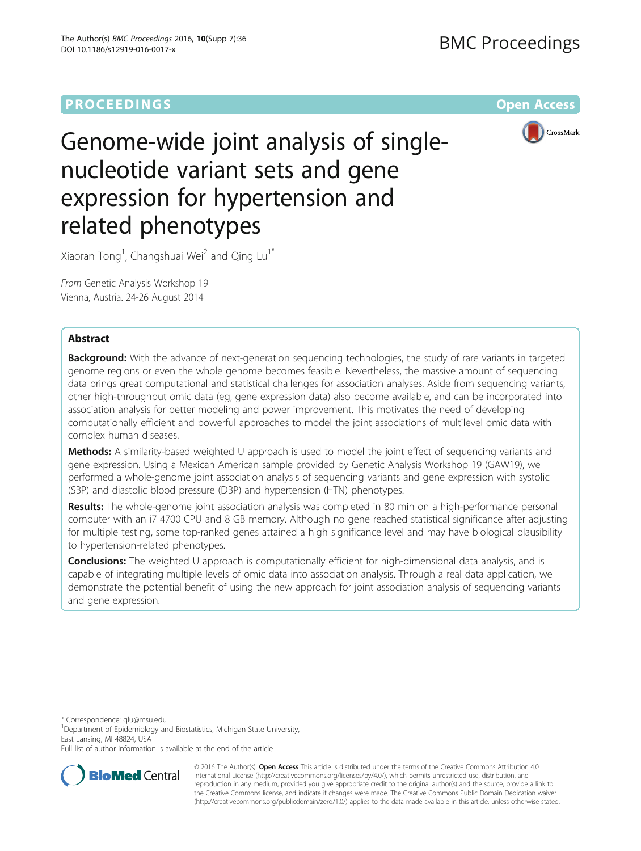## **PROCEEDINGS STATE SERVICE SERVICE SERVICE SERVICE SERVICE SERVICE SERVICE SERVICE SERVICE SERVICE SERVICE SERVICE SERVICE SERVICE SERVICE SERVICE SERVICE SERVICE SERVICE SERVICE SERVICE SERVICE SERVICE SERVICE SERVICE S**



# Genome-wide joint analysis of singlenucleotide variant sets and gene expression for hypertension and related phenotypes

Xiaoran Tong<sup>1</sup>, Changshuai Wei<sup>2</sup> and Qing Lu<sup>1\*</sup>

From Genetic Analysis Workshop 19 Vienna, Austria. 24-26 August 2014

## Abstract

Background: With the advance of next-generation sequencing technologies, the study of rare variants in targeted genome regions or even the whole genome becomes feasible. Nevertheless, the massive amount of sequencing data brings great computational and statistical challenges for association analyses. Aside from sequencing variants, other high-throughput omic data (eg, gene expression data) also become available, and can be incorporated into association analysis for better modeling and power improvement. This motivates the need of developing computationally efficient and powerful approaches to model the joint associations of multilevel omic data with complex human diseases.

Methods: A similarity-based weighted U approach is used to model the joint effect of sequencing variants and gene expression. Using a Mexican American sample provided by Genetic Analysis Workshop 19 (GAW19), we performed a whole-genome joint association analysis of sequencing variants and gene expression with systolic (SBP) and diastolic blood pressure (DBP) and hypertension (HTN) phenotypes.

Results: The whole-genome joint association analysis was completed in 80 min on a high-performance personal computer with an i7 4700 CPU and 8 GB memory. Although no gene reached statistical significance after adjusting for multiple testing, some top-ranked genes attained a high significance level and may have biological plausibility to hypertension-related phenotypes.

**Conclusions:** The weighted U approach is computationally efficient for high-dimensional data analysis, and is capable of integrating multiple levels of omic data into association analysis. Through a real data application, we demonstrate the potential benefit of using the new approach for joint association analysis of sequencing variants and gene expression.

\* Correspondence: [qlu@msu.edu](mailto:qlu@msu.edu) <sup>1</sup>

<sup>1</sup>Department of Epidemiology and Biostatistics, Michigan State University, East Lansing, MI 48824, USA

Full list of author information is available at the end of the article



© 2016 The Author(s). Open Access This article is distributed under the terms of the Creative Commons Attribution 4.0 International License [\(http://creativecommons.org/licenses/by/4.0/](http://creativecommons.org/licenses/by/4.0/)), which permits unrestricted use, distribution, and reproduction in any medium, provided you give appropriate credit to the original author(s) and the source, provide a link to the Creative Commons license, and indicate if changes were made. The Creative Commons Public Domain Dedication waiver [\(http://creativecommons.org/publicdomain/zero/1.0/](http://creativecommons.org/publicdomain/zero/1.0/)) applies to the data made available in this article, unless otherwise stated.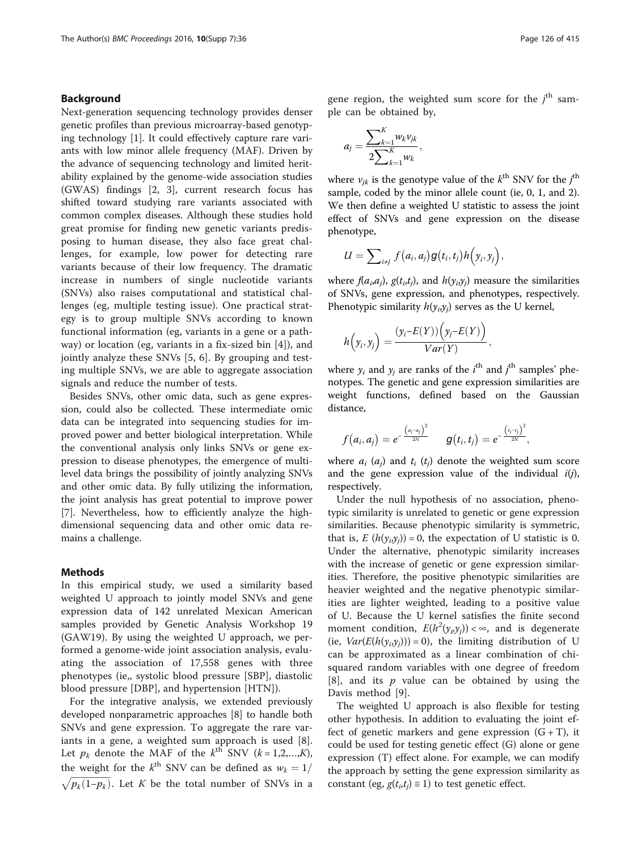## Background

Next-generation sequencing technology provides denser genetic profiles than previous microarray-based genotyping technology [\[1](#page-3-0)]. It could effectively capture rare variants with low minor allele frequency (MAF). Driven by the advance of sequencing technology and limited heritability explained by the genome-wide association studies (GWAS) findings [\[2](#page-3-0), [3\]](#page-3-0), current research focus has shifted toward studying rare variants associated with common complex diseases. Although these studies hold great promise for finding new genetic variants predisposing to human disease, they also face great challenges, for example, low power for detecting rare variants because of their low frequency. The dramatic increase in numbers of single nucleotide variants (SNVs) also raises computational and statistical challenges (eg, multiple testing issue). One practical strategy is to group multiple SNVs according to known functional information (eg, variants in a gene or a pathway) or location (eg, variants in a fix-sized bin [\[4](#page-3-0)]), and jointly analyze these SNVs [[5, 6](#page-4-0)]. By grouping and testing multiple SNVs, we are able to aggregate association signals and reduce the number of tests.

Besides SNVs, other omic data, such as gene expression, could also be collected. These intermediate omic data can be integrated into sequencing studies for improved power and better biological interpretation. While the conventional analysis only links SNVs or gene expression to disease phenotypes, the emergence of multilevel data brings the possibility of jointly analyzing SNVs and other omic data. By fully utilizing the information, the joint analysis has great potential to improve power [[7\]](#page-4-0). Nevertheless, how to efficiently analyze the highdimensional sequencing data and other omic data remains a challenge.

#### Methods

In this empirical study, we used a similarity based weighted U approach to jointly model SNVs and gene expression data of 142 unrelated Mexican American samples provided by Genetic Analysis Workshop 19 (GAW19). By using the weighted U approach, we performed a genome-wide joint association analysis, evaluating the association of 17,558 genes with three phenotypes (ie,, systolic blood pressure [SBP], diastolic blood pressure [DBP], and hypertension [HTN]).

For the integrative analysis, we extended previously developed nonparametric approaches [[8](#page-4-0)] to handle both SNVs and gene expression. To aggregate the rare variants in a gene, a weighted sum approach is used [\[8](#page-4-0)]. Let  $p_k$  denote the MAF of the  $k^{\text{th}}$  SNV ( $k = 1, 2, ..., K$ ), the weight for the  $k^{\text{th}}$  SNV can be defined as  $w_k = 1/$  $\sqrt{p_k(1-p_k)}$ . Let K be the total number of SNVs in a

gene region, the weighted sum score for the  $j<sup>th</sup>$  sam-<br>ple can be obtained by ple can be obtained by,

$$
a_j = \frac{\sum_{k=1}^K w_k v_{jk}}{2\sum_{k=1}^K w_k},
$$

where  $v_{jk}$  is the genotype value of the  $k^{\text{th}}$  SNV for the  $j^{\text{th}}$ <br>sample, coded by the minor allele count (ie, 0, 1, and 2) sample, coded by the minor allele count (ie, 0, 1, and 2). We then define a weighted U statistic to assess the joint effect of SNVs and gene expression on the disease phenotype,

 $\mathcal{L}^{\text{max}}$ 

$$
U=\sum\nolimits_{i\neq j}f\bigl(a_i,a_j\bigr)g\bigl(t_i,t_j\bigr)h\Bigl(y_i,y_j\Bigr),
$$

where  $f(a_i,a_j)$ ,  $g(t_i,t_j)$ , and  $h(y_i,y_j)$  measure the similarities of SNVs, gene expression, and phenotypes, respectively. Phenotypic similarity  $h(y_i, y_j)$  serves as the U kernel,

$$
h(y_i, y_j) = \frac{(y_i - E(Y)) (y_j - E(Y))}{Var(Y)},
$$

where  $y_i$  and  $y_j$  are ranks of the  $i^{\text{th}}$  and  $j^{\text{th}}$  samples' phe-<br>notypes. The genetic and gene expression similarities are notypes. The genetic and gene expression similarities are weight functions, defined based on the Gaussian distance,

$$
f\big(a_i,a_j\big)=e^{-\frac{\big(a_i-a_j\big)^2}{2N}}\qquad g\big(t_i,t_j\big)=e^{-\frac{\big(t_i-t_j\big)^2}{2N}},
$$

where  $a_i$  ( $a_j$ ) and  $t_i$  ( $t_j$ ) denote the weighted sum score and the gene expression value of the individual  $i(j)$ , respectively.

Under the null hypothesis of no association, phenotypic similarity is unrelated to genetic or gene expression similarities. Because phenotypic similarity is symmetric, that is,  $E(h(\gamma_i, \gamma_j)) = 0$ , the expectation of U statistic is 0. Under the alternative, phenotypic similarity increases with the increase of genetic or gene expression similarities. Therefore, the positive phenotypic similarities are heavier weighted and the negative phenotypic similarities are lighter weighted, leading to a positive value of U. Because the U kernel satisfies the finite second moment condition,  $E(h^2(y_i, y_j)) < \infty$ , and is degenerate<br>(ie  $Var(E(h(y_i, y_i))) = 0$ ) the limiting distribution of U (ie,  $Var(E(h(y_i, y_j))) = 0$ ), the limiting distribution of U can be approximated as a linear combination of chisquared random variables with one degree of freedom  $[8]$  $[8]$  $[8]$ , and its  $p$  value can be obtained by using the Davis method [\[9](#page-4-0)].

The weighted U approach is also flexible for testing other hypothesis. In addition to evaluating the joint effect of genetic markers and gene expression  $(G + T)$ , it could be used for testing genetic effect (G) alone or gene expression (T) effect alone. For example, we can modify the approach by setting the gene expression similarity as constant (eg,  $g(t_i,t_j) \equiv 1$ ) to test genetic effect.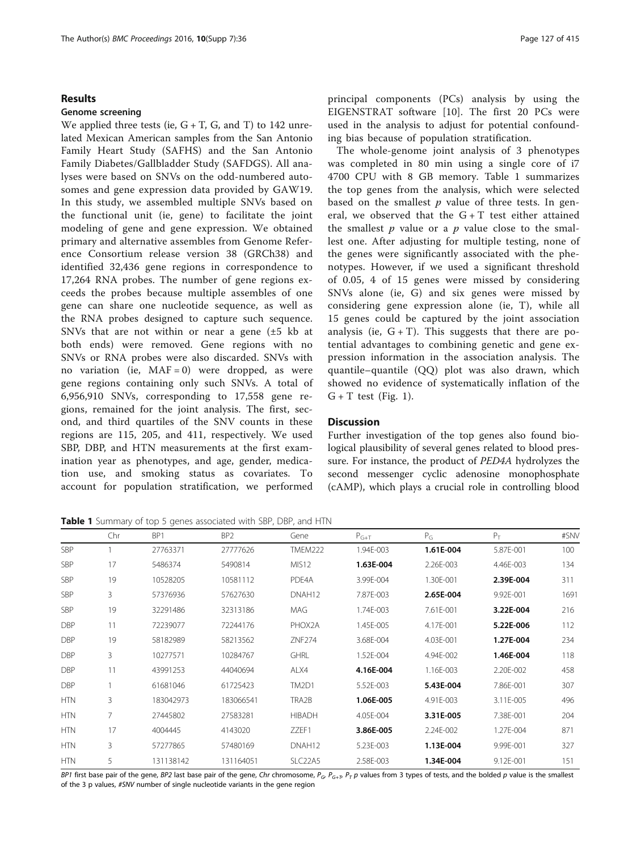#### Results

#### Genome screening

We applied three tests (ie,  $G + T$ ,  $G$ , and  $T$ ) to 142 unrelated Mexican American samples from the San Antonio Family Heart Study (SAFHS) and the San Antonio Family Diabetes/Gallbladder Study (SAFDGS). All analyses were based on SNVs on the odd-numbered autosomes and gene expression data provided by GAW19. In this study, we assembled multiple SNVs based on the functional unit (ie, gene) to facilitate the joint modeling of gene and gene expression. We obtained primary and alternative assembles from Genome Reference Consortium release version 38 (GRCh38) and identified 32,436 gene regions in correspondence to 17,264 RNA probes. The number of gene regions exceeds the probes because multiple assembles of one gene can share one nucleotide sequence, as well as the RNA probes designed to capture such sequence. SNVs that are not within or near a gene  $(\pm 5 \text{ kb at})$ both ends) were removed. Gene regions with no SNVs or RNA probes were also discarded. SNVs with no variation (ie,  $MAF = 0$ ) were dropped, as were gene regions containing only such SNVs. A total of 6,956,910 SNVs, corresponding to 17,558 gene regions, remained for the joint analysis. The first, second, and third quartiles of the SNV counts in these regions are 115, 205, and 411, respectively. We used SBP, DBP, and HTN measurements at the first examination year as phenotypes, and age, gender, medication use, and smoking status as covariates. To account for population stratification, we performed principal components (PCs) analysis by using the EIGENSTRAT software [[10\]](#page-4-0). The first 20 PCs were used in the analysis to adjust for potential confounding bias because of population stratification.

The whole-genome joint analysis of 3 phenotypes was completed in 80 min using a single core of i7 4700 CPU with 8 GB memory. Table 1 summarizes the top genes from the analysis, which were selected based on the smallest  $p$  value of three tests. In general, we observed that the  $G + T$  test either attained the smallest  $p$  value or a  $p$  value close to the smallest one. After adjusting for multiple testing, none of the genes were significantly associated with the phenotypes. However, if we used a significant threshold of 0.05, 4 of 15 genes were missed by considering SNVs alone (ie, G) and six genes were missed by considering gene expression alone (ie, T), while all 15 genes could be captured by the joint association analysis (ie,  $G + T$ ). This suggests that there are potential advantages to combining genetic and gene expression information in the association analysis. The quantile–quantile (QQ) plot was also drawn, which showed no evidence of systematically inflation of the  $G + T$  test (Fig. [1\)](#page-3-0).

## **Discussion**

Further investigation of the top genes also found biological plausibility of several genes related to blood pressure. For instance, the product of PED4A hydrolyzes the second messenger cyclic adenosine monophosphate (cAMP), which plays a crucial role in controlling blood

Table 1 Summary of top 5 genes associated with SBP, DBP, and HTN

|            | Chr | BP1       | BP <sub>2</sub> | Gene                             | $P_{G+T}$ | $P_G$     | $P_T$     | #SNV |
|------------|-----|-----------|-----------------|----------------------------------|-----------|-----------|-----------|------|
| <b>SBP</b> |     | 27763371  | 27777626        | <b>TMEM222</b>                   | 1.94E-003 | 1.61E-004 | 5.87E-001 | 100  |
| <b>SBP</b> | 17  | 5486374   | 5490814         | MIS <sub>12</sub>                | 1.63E-004 | 2.26E-003 | 4.46E-003 | 134  |
| <b>SBP</b> | 19  | 10528205  | 10581112        | PDE4A                            | 3.99E-004 | 1.30E-001 | 2.39E-004 | 311  |
| <b>SBP</b> | 3   | 57376936  | 57627630        | DNAH <sub>12</sub>               | 7.87E-003 | 2.65E-004 | 9.92E-001 | 1691 |
| <b>SBP</b> | 19  | 32291486  | 32313186        | MAG                              | 1.74E-003 | 7.61E-001 | 3.22E-004 | 216  |
| <b>DBP</b> | 11  | 72239077  | 72244176        | PHOX2A                           | 1.45E-005 | 4.17E-001 | 5.22E-006 | 112  |
| <b>DBP</b> | 19  | 58182989  | 58213562        | ZNF274                           | 3.68E-004 | 4.03E-001 | 1.27E-004 | 234  |
| <b>DBP</b> | 3   | 10277571  | 10284767        | <b>GHRL</b>                      | 1.52E-004 | 4.94E-002 | 1.46E-004 | 118  |
| <b>DBP</b> | 11  | 43991253  | 44040694        | ALX4                             | 4.16E-004 | 1.16E-003 | 2.20E-002 | 458  |
| <b>DBP</b> |     | 61681046  | 61725423        | TM2D1                            | 5.52E-003 | 5.43E-004 | 7.86E-001 | 307  |
| <b>HTN</b> | 3   | 183042973 | 183066541       | TRA2B                            | 1.06E-005 | 4.91E-003 | 3.11E-005 | 496  |
| <b>HTN</b> | 7   | 27445802  | 27583281        | <b>HIBADH</b>                    | 4.05E-004 | 3.31E-005 | 7.38E-001 | 204  |
| <b>HTN</b> | 17  | 4004445   | 4143020         | ZZEF1                            | 3.86E-005 | 2.24E-002 | 1.27E-004 | 871  |
| <b>HTN</b> | 3   | 57277865  | 57480169        | DNAH <sub>12</sub>               | 5.23E-003 | 1.13E-004 | 9.99E-001 | 327  |
| <b>HTN</b> | 5   | 131138142 | 131164051       | SLC <sub>22</sub> A <sub>5</sub> | 2.58E-003 | 1.34E-004 | 9.12E-001 | 151  |

BP1 first base pair of the gene, BP2 last base pair of the gene, Chr chromosome,  $P_{G}$ ,  $P_{G+T}$ ,  $P_T$  p values from 3 types of tests, and the bolded p value is the smallest of the 3 p values, #SNV number of single nucleotide variants in the gene region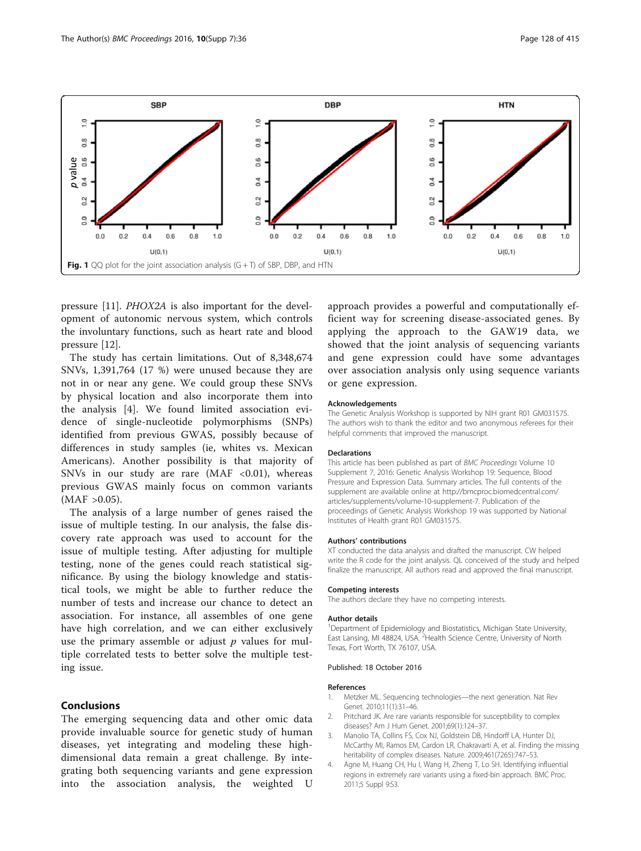<span id="page-3-0"></span>

pressure [\[11\]](#page-4-0). PHOX2A is also important for the development of autonomic nervous system, which controls the involuntary functions, such as heart rate and blood pressure [\[12\]](#page-4-0).

The study has certain limitations. Out of 8,348,674 SNVs, 1,391,764 (17 %) were unused because they are not in or near any gene. We could group these SNVs by physical location and also incorporate them into the analysis [4]. We found limited association evidence of single-nucleotide polymorphisms (SNPs) identified from previous GWAS, possibly because of differences in study samples (ie, whites vs. Mexican Americans). Another possibility is that majority of SNVs in our study are rare  $(MAF < 0.01)$ , whereas previous GWAS mainly focus on common variants  $(MAF > 0.05)$ .

The analysis of a large number of genes raised the issue of multiple testing. In our analysis, the false discovery rate approach was used to account for the issue of multiple testing. After adjusting for multiple testing, none of the genes could reach statistical significance. By using the biology knowledge and statistical tools, we might be able to further reduce the number of tests and increase our chance to detect an association. For instance, all assembles of one gene have high correlation, and we can either exclusively use the primary assemble or adjust  $p$  values for multiple correlated tests to better solve the multiple testing issue.

## Conclusions

The emerging sequencing data and other omic data provide invaluable source for genetic study of human diseases, yet integrating and modeling these highdimensional data remain a great challenge. By integrating both sequencing variants and gene expression into the association analysis, the weighted U

approach provides a powerful and computationally efficient way for screening disease-associated genes. By applying the approach to the GAW19 data, we showed that the joint analysis of sequencing variants and gene expression could have some advantages over association analysis only using sequence variants or gene expression.

#### Acknowledgements

The Genetic Analysis Workshop is supported by NIH grant R01 GM031575. The authors wish to thank the editor and two anonymous referees for their helpful comments that improved the manuscript.

#### Declarations

This article has been published as part of BMC Proceedings Volume 10 Supplement 7, 2016: Genetic Analysis Workshop 19: Sequence, Blood Pressure and Expression Data. Summary articles. The full contents of the supplement are available online at [http://bmcproc.biomedcentral.com/](http://bmcproc.biomedcentral.com/articles/supplements/volume-10-supplement-7) [articles/supplements/volume-10-supplement-7.](http://bmcproc.biomedcentral.com/articles/supplements/volume-10-supplement-7) Publication of the proceedings of Genetic Analysis Workshop 19 was supported by National Institutes of Health grant R01 GM031575.

#### Authors' contributions

XT conducted the data analysis and drafted the manuscript. CW helped write the R code for the joint analysis. QL conceived of the study and helped finalize the manuscript. All authors read and approved the final manuscript.

#### Competing interests

The authors declare they have no competing interests.

#### Author details

<sup>1</sup>Department of Epidemiology and Biostatistics, Michigan State University East Lansing, MI 48824, USA. <sup>2</sup> Health Science Centre, University of North Texas, Fort Worth, TX 76107, USA.

#### Published: 18 October 2016

#### References

- Metzker ML. Sequencing technologies-the next generation. Nat Rev Genet. 2010;11(1):31–46.
- 2. Pritchard JK. Are rare variants responsible for susceptibility to complex diseases? Am J Hum Genet. 2001;69(1):124–37.
- 3. Manolio TA, Collins FS, Cox NJ, Goldstein DB, Hindorff LA, Hunter DJ, McCarthy MI, Ramos EM, Cardon LR, Chakravarti A, et al. Finding the missing heritability of complex diseases. Nature. 2009;461(7265):747–53.
- 4. Agne M, Huang CH, Hu I, Wang H, Zheng T, Lo SH. Identifying influential regions in extremely rare variants using a fixed-bin approach. BMC Proc. 2011;5 Suppl 9:S3.